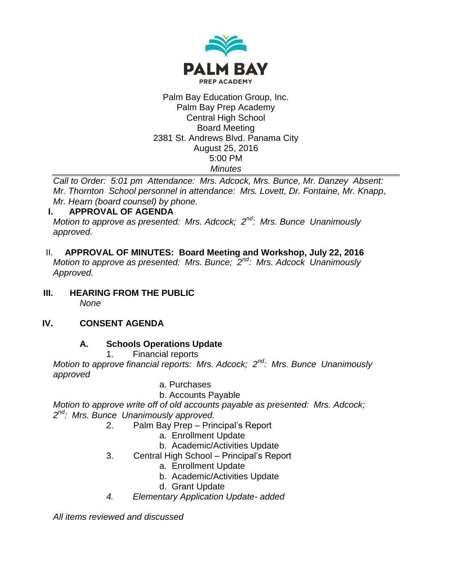

#### Palm Bay Education Group, Inc. Palm Bay Prep Academy Central High School Board Meeting 2381 St. Andrews Blvd. Panama City August 25, 2016 5:00 PM *Minutes*

*Call to Order: 5:01 pm Attendance: Mrs. Adcock, Mrs. Bunce, Mr. Danzey Absent: Mr. Thornton School personnel in attendance: Mrs. Lovett, Dr. Fontaine, Mr. Knapp, Mr. Hearn (board counsel) by phone.*

# **I. APPROVAL OF AGENDA**

*Motion to approve as presented: Mrs. Adcock; 2nd: Mrs. Bunce Unanimously approved.*

- II. **APPROVAL OF MINUTES: Board Meeting and Workshop, July 22, 2016** *Motion to approve as presented: Mrs. Bunce; 2nd: Mrs. Adcock Unanimously Approved.*
- **III. HEARING FROM THE PUBLIC**

*None*

# **IV. CONSENT AGENDA**

# **A. Schools Operations Update**

1. Financial reports

*Motion to approve financial reports: Mrs. Adcock; 2nd: Mrs. Bunce Unanimously approved*

- a. Purchases
- b. Accounts Payable

*Motion to approve write off of old accounts payable as presented: Mrs. Adcock; 2 nd: Mrs. Bunce Unanimously approved.*

- 2. Palm Bay Prep Principal's Report
	- a. Enrollment Update
	- b. Academic/Activities Update
- 3. Central High School Principal's Report
	- a. Enrollment Update
	- b. Academic/Activities Update
	- d. Grant Update
- *4. Elementary Application Update- added*

*All items reviewed and discussed*